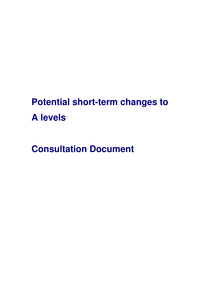# **Potential short-term changes to A levels**

**Consultation Document**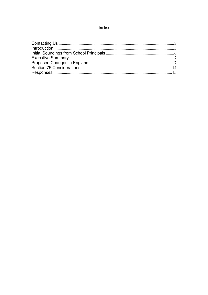## Index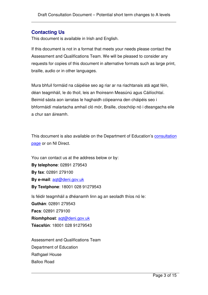## **Contacting Us**

This document is available in Irish and English.

If this document is not in a format that meets your needs please contact the Assessment and Qualifications Team. We will be pleased to consider any requests for copies of this document in alternative formats such as large print, braille, audio or in other languages.

Mura bhfuil formáid na cáipéise seo ag riar ar na riachtanais atá agat féin, déan teagmháil, le do thoil, leis an fhoireann Measúnú agus Cáilíochtaí. Beimid sásta aon iarratas le haghaidh cóipeanna den cháipéis seo i bhformáidí malartacha amhail cló mór, Braille, closchóip nó i dteangacha eile a chur san áireamh.

This document is also available on the Department of Education's consultation page or on NI Direct.

You can contact us at the address below or by: **By telephone**: 02891 279543 **By fax**: 02891 279100 **By e-mail**: aqt@deni.gov.uk **By Textphone**: 18001 028 91279543 Is féidir teagmháil a dhéanamh linn ag an seoladh thíos nó le: **Guthán**: 02891 279543 **Facs**: 02891 279100 **Ríomhphost**: aqt@deni.gov.uk **Téacsfón**: 18001 028 91279543

Assessment and Qualifications Team Department of Education Rathgael House Balloo Road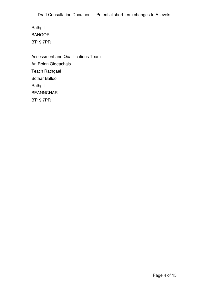Rathgill BANGOR BT19 7PR

Assessment and Qualifications Team An Roinn Oideachais Teach Rathgael Bóthar Balloo Rathgill BEANNCHAR BT19 7PR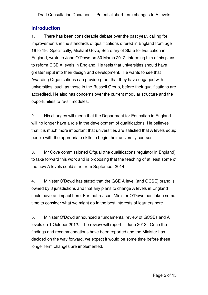## **Introduction**

1. There has been considerable debate over the past year, calling for improvements in the standards of qualifications offered in England from age 16 to 19. Specifically, Michael Gove, Secretary of State for Education in England, wrote to John O'Dowd on 30 March 2012, informing him of his plans to reform GCE A levels in England. He feels that universities should have greater input into their design and development. He wants to see that Awarding Organisations can provide proof that they have engaged with universities, such as those in the Russell Group, before their qualifications are accredited. He also has concerns over the current modular structure and the opportunities to re-sit modules.

2. His changes will mean that the Department for Education in England will no longer have a role in the development of qualifications. He believes that it is much more important that universities are satisfied that A levels equip people with the appropriate skills to begin their university courses.

3. Mr Gove commissioned Ofqual (the qualifications regulator in England) to take forward this work and is proposing that the teaching of at least some of the new A levels could start from September 2014.

4. Minister O'Dowd has stated that the GCE A level (and GCSE) brand is owned by 3 jurisdictions and that any plans to change A levels in England could have an impact here. For that reason, Minister O'Dowd has taken some time to consider what we might do in the best interests of learners here.

5. Minister O'Dowd announced a fundamental review of GCSEs and A levels on 1 October 2012. The review will report in June 2013. Once the findings and recommendations have been reported and the Minister has decided on the way forward, we expect it would be some time before these longer term changes are implemented.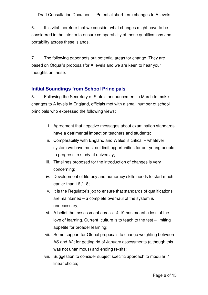6. It is vital therefore that we consider what changes might have to be considered in the interim to ensure comparability of these qualifications and portability across these islands.

7. The following paper sets out potential areas for change. They are based on Ofqual's proposalsfor A levels and we are keen to hear your thoughts on these.

# **Initial Soundings from School Principals**

8. Following the Secretary of State's announcement in March to make changes to A levels in England, officials met with a small number of school principals who expressed the following views:

- i. Agreement that negative messages about examination standards have a detrimental impact on teachers and students;
- ii. Comparability with England and Wales is critical whatever system we have must not limit opportunities for our young people to progress to study at university;
- iii. Timelines proposed for the introduction of changes is very concerning;
- iv. Development of literacy and numeracy skills needs to start much earlier than 16 / 18;
- v. It is the Regulator's job to ensure that standards of qualifications are maintained – a complete overhaul of the system is unnecessary;
- vi. A belief that assessment across 14-19 has meant a loss of the love of learning. Current culture is to teach to the test – limiting appetite for broader learning;
- vii. Some support for Ofqual proposals to change weighting between AS and A2; for getting rid of January assessments (although this was not unanimous) and ending re-sits;
- viii. Suggestion to consider subject specific approach to modular / linear choice;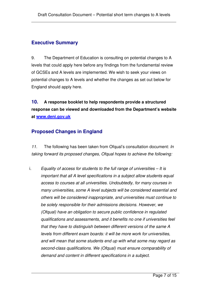## **Executive Summary**

9. The Department of Education is consulting on potential changes to A levels that could apply here before any findings from the fundamental review of GCSEs and A levels are implemented. We wish to seek your views on potential changes to A levels and whether the changes as set out below for England should apply here.

**10. A response booklet to help respondents provide a structured response can be viewed and downloaded from the Department's website at www.deni.gov.uk**

# **Proposed Changes in England**

11. The following has been taken from Ofqual's consultation document: In taking forward its proposed changes, Ofqual hopes to achieve the following:

i. Equality of access for students to the full range of universities  $-$  It is important that all A level specifications in a subject allow students equal access to courses at all universities. Undoubtedly, for many courses in many universities, some A level subjects will be considered essential and others will be considered inappropriate, and universities must continue to be solely responsible for their admissions decisions. However, we (Ofqual) have an obligation to secure public confidence in regulated qualifications and assessments, and it benefits no one if universities feel that they have to distinguish between different versions of the same A levels from different exam boards: it will be more work for universities, and will mean that some students end up with what some may regard as second-class qualifications. We (Ofqual) must ensure comparability of demand and content in different specifications in a subject.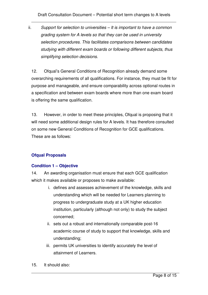ii. Support for selection to universities – It is important to have a common grading system for A levels so that they can be used in university selection procedures. This facilitates comparisons between candidates studying with different exam boards or following different subjects, thus simplifying selection decisions.

12. Ofqual's General Conditions of Recognition already demand some overarching requirements of all qualifications. For instance, they must be fit for purpose and manageable, and ensure comparability across optional routes in a specification and between exam boards where more than one exam board is offering the same qualification.

13. However, in order to meet these principles, Ofqual is proposing that it will need some additional design rules for A levels. It has therefore consulted on some new General Conditions of Recognition for GCE qualifications. These are as follows:

## **Ofqual Proposals**

## **Condition 1 – Objective**

14. An awarding organisation must ensure that each GCE qualification which it makes available or proposes to make available:

- i. defines and assesses achievement of the knowledge, skills and understanding which will be needed for Learners planning to progress to undergraduate study at a UK higher education institution, particularly (although not only) to study the subject concerned;
- ii. sets out a robust and internationally comparable post-16 academic course of study to support that knowledge, skills and understanding;
- iii. permits UK universities to identify accurately the level of attainment of Learners.
- 15. It should also: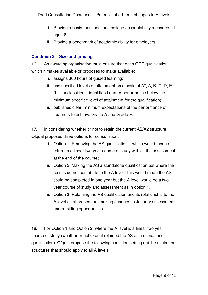- i. Provide a basis for school and college accountability measures at age 18;
- ii. Provide a benchmark of academic ability for employers.

### **Condition 2 – Size and grading**

16. An awarding organisation must ensure that each GCE qualification which it makes available or proposes to make available:

- i. assigns 360 hours of guided learning;
- ii. has specified levels of attainment on a scale of A\*, A, B, C, D, E (U – unclassified – identifies Learner performance below the minimum specified level of attainment for the qualification);
- iii. publishes clear, minimum expectations of the performance of Learners to achieve Grade A and Grade E.

17. In considering whether or not to retain the current AS/A2 structure Ofqual proposed three options for consultation:

- i. Option 1. Removing the AS qualification which would mean a return to a linear two year course of study with all the assessment at the end of the course;
- ii. Option 2. Making the AS a standalone qualification but where the results do not contribute to the A level. This would mean the AS could be completed in one year but the A level would be a two year course of study and assessment as in option 1.
- iii. Option 3. Retaining the AS qualification and its relationship to the A level as at present but making changes to January assessments and re-sitting opportunities.

18. For Option 1 and Option 2, where the A level is a linear two year course of study (whether or not Ofqual retained the AS as a standalone qualification), Ofqual propose the following condition setting out the minimum structures that should apply to all A levels: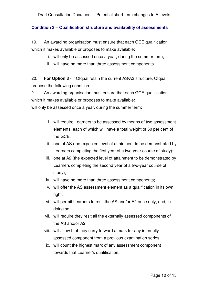#### **Condition 3 – Qualification structure and availability of assessments**

19. An awarding organisation must ensure that each GCE qualification which it makes available or proposes to make available:

- i. will only be assessed once a year, during the summer term;
- ii. will have no more than three assessment components.

20. **For Option 3** - if Ofqual retain the current AS/A2 structure, Ofqual propose the following condition:

21. An awarding organisation must ensure that each GCE qualification which it makes available or proposes to make available:

will only be assessed once a year, during the summer term;

- i. will require Learners to be assessed by means of two assessment elements, each of which will have a total weight of 50 per cent of the GCE:
- ii. one at AS (the expected level of attainment to be demonstrated by Learners completing the first year of a two-year course of study);
- iii. one at A2 (the expected level of attainment to be demonstrated by Learners completing the second year of a two-year course of study);
- iv. will have no more than three assessment components;
- v. will offer the AS assessment element as a qualification in its own right;
- vi. will permit Learners to resit the AS and/or A2 once only, and, in doing so:
- vii. will require they resit all the externally assessed components of the AS and/or A2;
- viii. will allow that they carry forward a mark for any internally assessed component from a previous examination series;
- ix. will count the highest mark of any assessment component towards that Learner's qualification.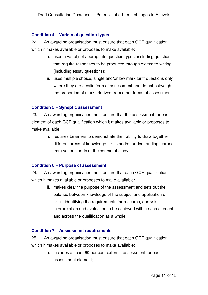#### **Condition 4 – Variety of question types**

22. An awarding organisation must ensure that each GCE qualification which it makes available or proposes to make available:

- i. uses a variety of appropriate question types, including questions that require responses to be produced through extended writing (including essay questions);
- ii. uses multiple choice, single and/or low mark tariff questions only where they are a valid form of assessment and do not outweigh the proportion of marks derived from other forms of assessment.

#### **Condition 5 – Synoptic assessment**

23. An awarding organisation must ensure that the assessment for each element of each GCE qualification which it makes available or proposes to make available:

> i. requires Learners to demonstrate their ability to draw together different areas of knowledge, skills and/or understanding learned from various parts of the course of study.

#### **Condition 6 – Purpose of assessment**

24. An awarding organisation must ensure that each GCE qualification which it makes available or proposes to make available:

> ii. makes clear the purpose of the assessment and sets out the balance between knowledge of the subject and application of skills, identifying the requirements for research, analysis, interpretation and evaluation to be achieved within each element and across the qualification as a whole.

#### **Condition 7 – Assessment requirements**

25. An awarding organisation must ensure that each GCE qualification which it makes available or proposes to make available:

> i. includes at least 60 per cent external assessment for each assessment element;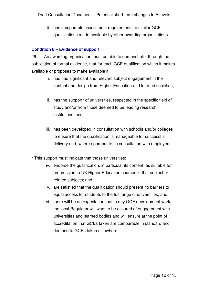ii. has comparable assessment requirements to similar GCE qualifications made available by other awarding organisations.

#### **Condition 8 – Evidence of support**

26. An awarding organisation must be able to demonstrate, through the publication of formal evidence, that for each GCE qualification which it makes available or proposes to make available it:

- i. has had significant and relevant subject engagement in the content and design from Higher Education and learned societies;
- ii. has the support\* of universities, respected in the specific field of study and/or from those deemed to be leading research institutions; and
- iii. has been developed in consultation with schools and/or colleges to ensure that the qualification is manageable for successful delivery and, where appropriate, in consultation with employers.
- \* This support must indicate that those universities:
	- iv. endorse the qualification, in particular its content, as suitable for progression to UK Higher Education courses in that subject or related subjects; and
	- v. are satisfied that the qualification should present no barriers to equal access for students to the full range of universities; and
	- vi. there will be an expectation that in any GCE development work, the local Regulator will want to be assured of engagement with universities and learned bodies and will ensure at the point of accreditation that GCEs taken are comparable in standard and demand to GCEs taken elsewhere..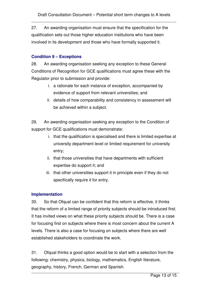27. An awarding organisation must ensure that the specification for the qualification sets out those higher education institutions who have been involved in its development and those who have formally supported it.

#### **Condition 9 – Exceptions**

28. An awarding organisation seeking any exception to these General Conditions of Recognition for GCE qualifications must agree these with the Regulator prior to submission and provide:

- i. a rationale for each instance of exception, accompanied by evidence of support from relevant universities; and
- ii. details of how comparability and consistency in assessment will be achieved within a subject.

29. An awarding organisation seeking any exception to the Condition of support for GCE qualifications must demonstrate:

- i. that the qualification is specialised and there is limited expertise at university department level or limited requirement for university entry;
- ii. that those universities that have departments with sufficient expertise do support it; and
- iii. that other universities support it in principle even if they do not specifically require it for entry.

#### **Implementation**

30. So that Ofqual can be confident that this reform is effective, it thinks that the reform of a limited range of priority subjects should be introduced first. It has invited views on what these priority subjects should be. There is a case for focusing first on subjects where there is most concern about the current A levels. There is also a case for focusing on subjects where there are well established stakeholders to coordinate the work.

31. Ofqual thinks a good option would be to start with a selection from the following: chemistry, physics, biology, mathematics, English literature, geography, history, French, German and Spanish.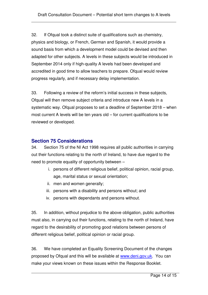32. If Ofqual took a distinct suite of qualifications such as chemistry, physics and biology, or French, German and Spanish, it would provide a sound basis from which a development model could be devised and then adapted for other subjects. A levels in these subjects would be introduced in September 2014 only if high-quality A levels had been developed and accredited in good time to allow teachers to prepare. Ofqual would review progress regularly, and if necessary delay implementation.

33. Following a review of the reform's initial success in these subjects, Ofqual will then remove subject criteria and introduce new A levels in a systematic way. Ofqual proposes to set a deadline of September 2018 – when most current A levels will be ten years old – for current qualifications to be reviewed or developed.

# **Section 75 Considerations**

34. Section 75 of the NI Act 1998 requires all public authorities in carrying out their functions relating to the north of Ireland, to have due regard to the need to promote equality of opportunity between –

- i. persons of different religious belief, political opinion, racial group, age, marital status or sexual orientation;
- ii. men and women generally;
- iii. persons with a disability and persons without; and
- iv. persons with dependants and persons without.

35. In addition, without prejudice to the above obligation, public authorities must also, in carrying out their functions, relating to the north of Ireland, have regard to the desirability of promoting good relations between persons of different religious belief, political opinion or racial group.

36. We have completed an Equality Screening Document of the changes proposed by Ofqual and this will be available at www.deni.gov.uk. You can make your views known on these issues within the Response Booklet.